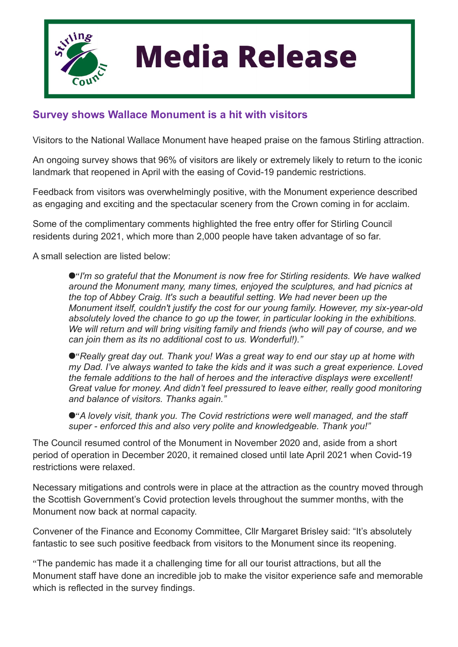

## **Media Release**

## **Survey shows Wallace Monument is a hit with visitors**

Visitors to the National Wallace Monument have heaped praise on the famous Stirling attraction.

An ongoing survey shows that 96% of visitors are likely or extremely likely to return to the iconic landmark that reopened in April with the easing of Covid-19 pandemic restrictions.

Feedback from visitors was overwhelmingly positive, with the Monument experience described as engaging and exciting and the spectacular scenery from the Crown coming in for acclaim.

Some of the complimentary comments highlighted the free entry offer for Stirling Council residents during 2021, which more than 2,000 people have taken advantage of so far.

A small selection are listed below:

●"I'm so grateful that the Monument is now free for Stirling residents. We have walked *around the Monument many, many times, enjoyed the sculptures, and had picnics at the top of Abbey Craig. It's such a beautiful setting. We had never been up the Monument itself, couldn't justify the cost for our young family. However, my six-year-old absolutely loved the chance to go up the tower, in particular looking in the exhibitions. We will return and will bring visiting family and friends (who will pay of course, and we can join them as its no additional cost to us. Wonderful!)."*

● "Really great day out. Thank you! Was a great way to end our stay up at home with *my Dad. I've always wanted to take the kids and it was such a great experience. Loved the female additions to the hall of heroes and the interactive displays were excellent! Great value for money. And didn't feel pressured to leave either, really good monitoring and balance of visitors. Thanks again."*

● "A lovely visit, thank you. The Covid restrictions were well managed, and the staff *super - enforced this and also very polite and knowledgeable. Thank you!"*

The Council resumed control of the Monument in November 2020 and, aside from a short period of operation in December 2020, it remained closed until late April 2021 when Covid-19 restrictions were relaxed.

Necessary mitigations and controls were in place at the attraction as the country moved through the Scottish Government's Covid protection levels throughout the summer months, with the Monument now back at normal capacity.

Convener of the Finance and Economy Committee, Cllr Margaret Brisley said: "It's absolutely fantastic to see such positive feedback from visitors to the Monument since its reopening.

"The pandemic has made it a challenging time for all our tourist attractions, but all the Monument staff have done an incredible job to make the visitor experience safe and memorable which is reflected in the survey findings.